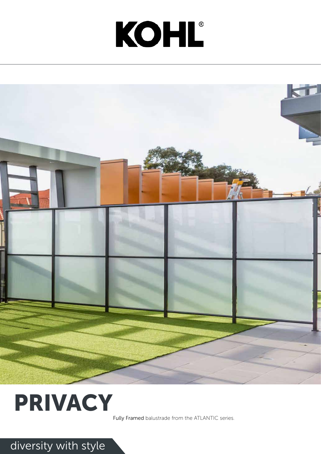## diversity with style

# KOHL®





## PRIVACY

Fully Framed balustrade from the ATLANTIC series.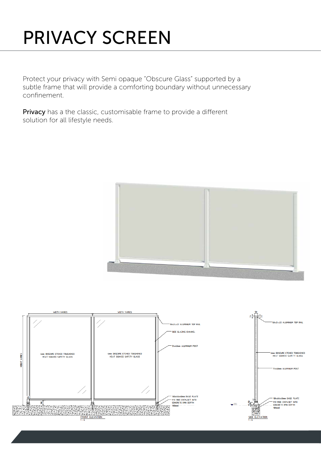Protect your privacy with Semi opaque "Obscure Glass" supported by a subtle frame that will provide a comforting boundary without unnecessary confinement.

Privacy has a the classic, customisable frame to provide a different solution for all lifestyle needs.









## PRIVACY SCREEN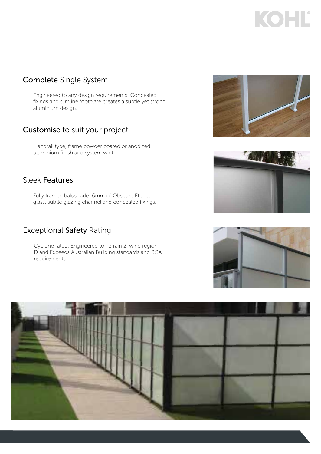#### Sleek Features

Fully framed balustrade: 6mm of Obscure Etched glass, subtle glazing channel and concealed fixings.

## Customise to suit your project

Handrail type, frame powder coated or anodized aluminium finish and system width.

## Exceptional Safety Rating

Cyclone rated: Engineered to Terrain 2, wind region D and Exceeds Australian Building standards and BCA requirements.











## KOHL

## Complete Single System

Engineered to any design requirements: Concealed fixings and slimline footplate creates a subtle yet strong aluminium design.